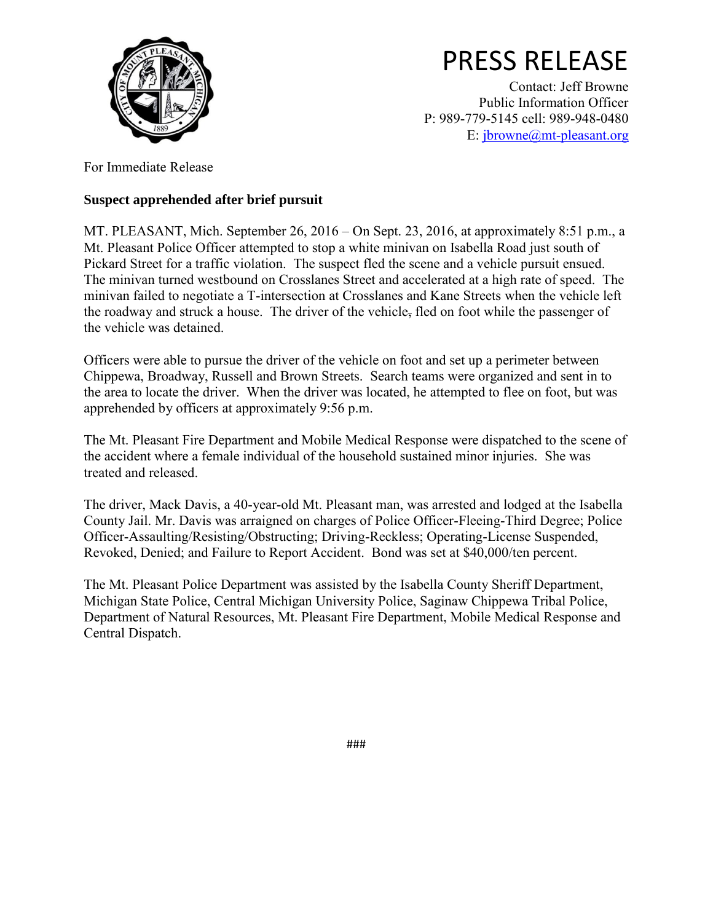

## PRESS RELEASE

Contact: Jeff Browne Public Information Officer P: 989-779-5145 cell: 989-948-0480 E: [jbrowne@mt-pleasant.org](mailto:jbrowne@mt-pleasant.org)

For Immediate Release

## **Suspect apprehended after brief pursuit**

MT. PLEASANT, Mich. September 26, 2016 – On Sept. 23, 2016, at approximately 8:51 p.m., a Mt. Pleasant Police Officer attempted to stop a white minivan on Isabella Road just south of Pickard Street for a traffic violation. The suspect fled the scene and a vehicle pursuit ensued. The minivan turned westbound on Crosslanes Street and accelerated at a high rate of speed. The minivan failed to negotiate a T-intersection at Crosslanes and Kane Streets when the vehicle left the roadway and struck a house. The driver of the vehicle, fled on foot while the passenger of the vehicle was detained.

Officers were able to pursue the driver of the vehicle on foot and set up a perimeter between Chippewa, Broadway, Russell and Brown Streets. Search teams were organized and sent in to the area to locate the driver. When the driver was located, he attempted to flee on foot, but was apprehended by officers at approximately 9:56 p.m.

The Mt. Pleasant Fire Department and Mobile Medical Response were dispatched to the scene of the accident where a female individual of the household sustained minor injuries. She was treated and released.

The driver, Mack Davis, a 40-year-old Mt. Pleasant man, was arrested and lodged at the Isabella County Jail. Mr. Davis was arraigned on charges of Police Officer-Fleeing-Third Degree; Police Officer-Assaulting/Resisting/Obstructing; Driving-Reckless; Operating-License Suspended, Revoked, Denied; and Failure to Report Accident. Bond was set at \$40,000/ten percent.

The Mt. Pleasant Police Department was assisted by the Isabella County Sheriff Department, Michigan State Police, Central Michigan University Police, Saginaw Chippewa Tribal Police, Department of Natural Resources, Mt. Pleasant Fire Department, Mobile Medical Response and Central Dispatch.

###